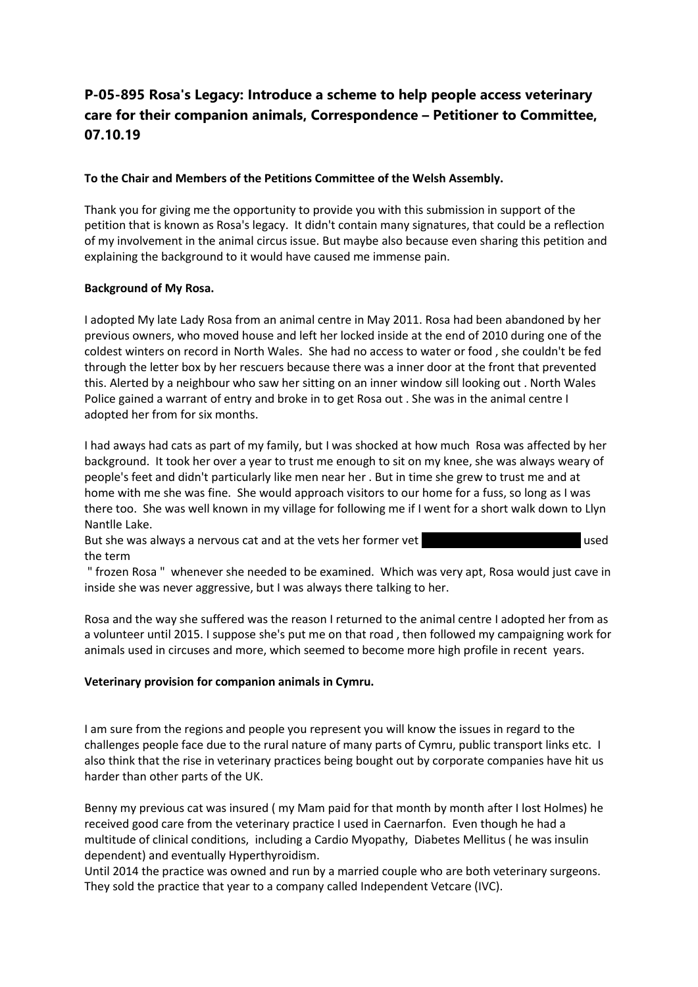# **P-05-895 Rosa's Legacy: Introduce a scheme to help people access veterinary care for their companion animals, Correspondence – Petitioner to Committee, 07.10.19**

# **To the Chair and Members of the Petitions Committee of the Welsh Assembly.**

Thank you for giving me the opportunity to provide you with this submission in support of the petition that is known as Rosa's legacy. It didn't contain many signatures, that could be a reflection of my involvement in the animal circus issue. But maybe also because even sharing this petition and explaining the background to it would have caused me immense pain.

# **Background of My Rosa.**

I adopted My late Lady Rosa from an animal centre in May 2011. Rosa had been abandoned by her previous owners, who moved house and left her locked inside at the end of 2010 during one of the coldest winters on record in North Wales. She had no access to water or food , she couldn't be fed through the letter box by her rescuers because there was a inner door at the front that prevented this. Alerted by a neighbour who saw her sitting on an inner window sill looking out . North Wales Police gained a warrant of entry and broke in to get Rosa out . She was in the animal centre I adopted her from for six months.

I had aways had cats as part of my family, but I was shocked at how much Rosa was affected by her background. It took her over a year to trust me enough to sit on my knee, she was always weary of people's feet and didn't particularly like men near her . But in time she grew to trust me and at home with me she was fine. She would approach visitors to our home for a fuss, so long as I was there too. She was well known in my village for following me if I went for a short walk down to Llyn Nantlle Lake.

But she was always a nervous cat and at the vets her former vet **Dr Ceri Gruppy and Strute Gruppy** used the term

" frozen Rosa " whenever she needed to be examined. Which was very apt, Rosa would just cave in inside she was never aggressive, but I was always there talking to her.

Rosa and the way she suffered was the reason I returned to the animal centre I adopted her from as a volunteer until 2015. I suppose she's put me on that road , then followed my campaigning work for animals used in circuses and more, which seemed to become more high profile in recent years.

## **Veterinary provision for companion animals in Cymru.**

I am sure from the regions and people you represent you will know the issues in regard to the challenges people face due to the rural nature of many parts of Cymru, public transport links etc. I also think that the rise in veterinary practices being bought out by corporate companies have hit us harder than other parts of the UK.

Benny my previous cat was insured ( my Mam paid for that month by month after I lost Holmes) he received good care from the veterinary practice I used in Caernarfon. Even though he had a multitude of clinical conditions, including a Cardio Myopathy, Diabetes Mellitus ( he was insulin dependent) and eventually Hyperthyroidism.

Until 2014 the practice was owned and run by a married couple who are both veterinary surgeons. They sold the practice that year to a company called Independent Vetcare (IVC).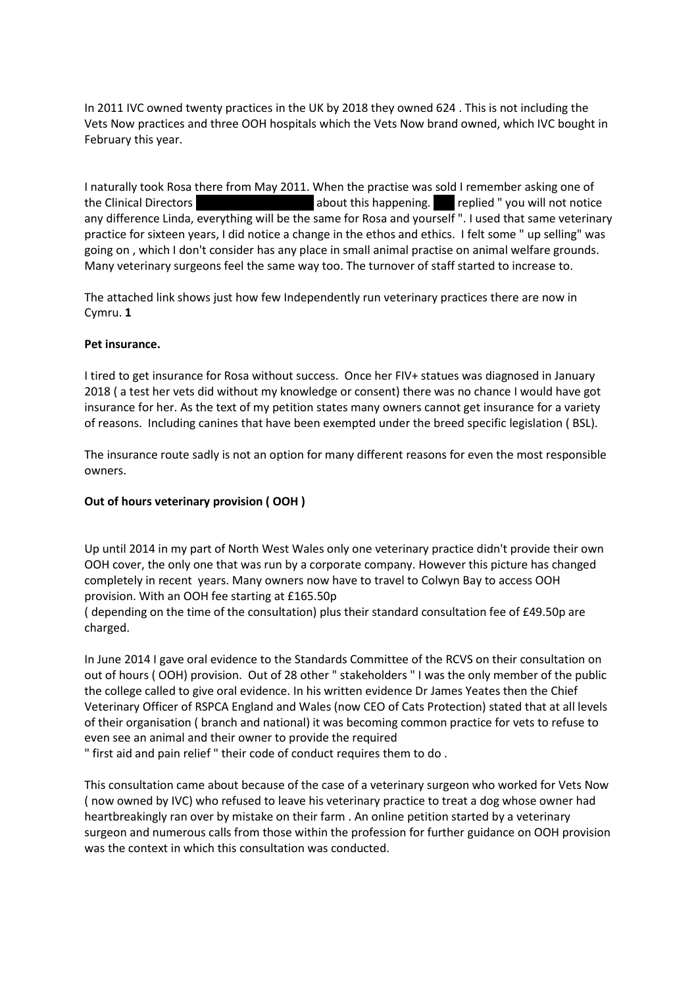In 2011 IVC owned twenty practices in the UK by 2018 they owned 624 . This is not including the Vets Now practices and three OOH hospitals which the Vets Now brand owned, which IVC bought in February this year.

I naturally took Rosa there from May 2011. When the practise was sold I remember asking one of the Clinical Directors **Driefs about this happening.** Certify about this happening. Certify replied " you will not notice any difference Linda, everything will be the same for Rosa and yourself ". I used that same veterinary practice for sixteen years, I did notice a change in the ethos and ethics. I felt some " up selling" was going on , which I don't consider has any place in small animal practise on animal welfare grounds. Many veterinary surgeons feel the same way too. The turnover of staff started to increase to.

The attached link shows just how few Independently run veterinary practices there are now in Cymru. **1**

## **Pet insurance.**

I tired to get insurance for Rosa without success. Once her FIV+ statues was diagnosed in January 2018 ( a test her vets did without my knowledge or consent) there was no chance I would have got insurance for her. As the text of my petition states many owners cannot get insurance for a variety of reasons. Including canines that have been exempted under the breed specific legislation ( BSL).

The insurance route sadly is not an option for many different reasons for even the most responsible owners.

## **Out of hours veterinary provision ( OOH )**

Up until 2014 in my part of North West Wales only one veterinary practice didn't provide their own OOH cover, the only one that was run by a corporate company. However this picture has changed completely in recent years. Many owners now have to travel to Colwyn Bay to access OOH provision. With an OOH fee starting at £165.50p

( depending on the time of the consultation) plus their standard consultation fee of £49.50p are charged.

In June 2014 I gave oral evidence to the Standards Committee of the RCVS on their consultation on out of hours ( OOH) provision. Out of 28 other " stakeholders " I was the only member of the public the college called to give oral evidence. In his written evidence Dr James Yeates then the Chief Veterinary Officer of RSPCA England and Wales (now CEO of Cats Protection) stated that at all levels of their organisation ( branch and national) it was becoming common practice for vets to refuse to even see an animal and their owner to provide the required

" first aid and pain relief " their code of conduct requires them to do .

This consultation came about because of the case of a veterinary surgeon who worked for Vets Now ( now owned by IVC) who refused to leave his veterinary practice to treat a dog whose owner had heartbreakingly ran over by mistake on their farm . An online petition started by a veterinary surgeon and numerous calls from those within the profession for further guidance on OOH provision was the context in which this consultation was conducted.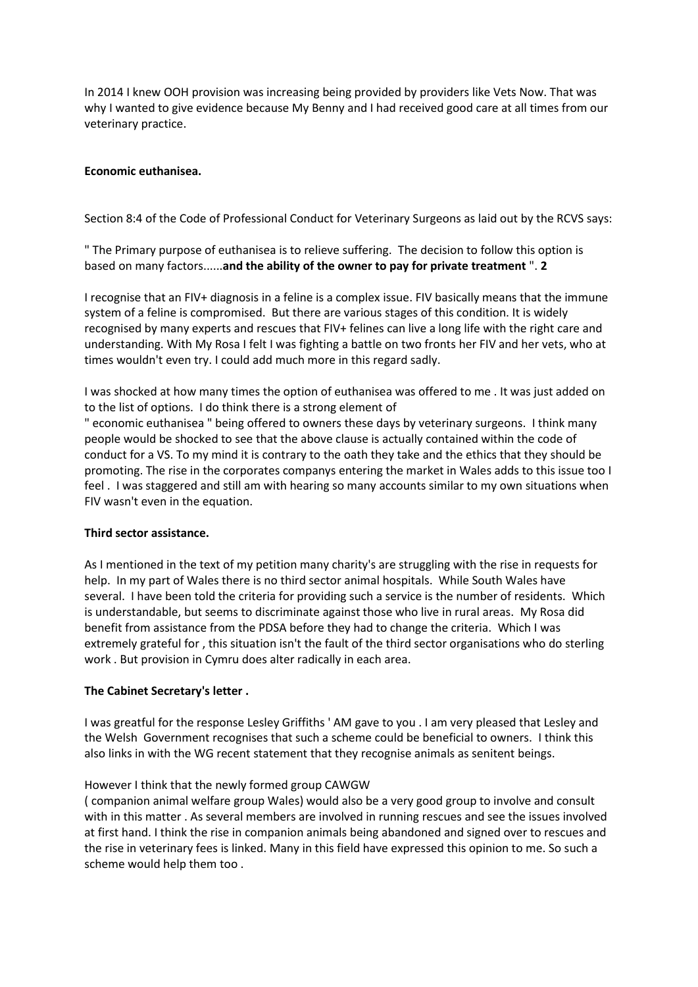In 2014 I knew OOH provision was increasing being provided by providers like Vets Now. That was why I wanted to give evidence because My Benny and I had received good care at all times from our veterinary practice.

## **Economic euthanisea.**

Section 8:4 of the Code of Professional Conduct for Veterinary Surgeons as laid out by the RCVS says:

" The Primary purpose of euthanisea is to relieve suffering. The decision to follow this option is based on many factors......**and the ability of the owner to pay for private treatment** ". **2**

I recognise that an FIV+ diagnosis in a feline is a complex issue. FIV basically means that the immune system of a feline is compromised. But there are various stages of this condition. It is widely recognised by many experts and rescues that FIV+ felines can live a long life with the right care and understanding. With My Rosa I felt I was fighting a battle on two fronts her FIV and her vets, who at times wouldn't even try. I could add much more in this regard sadly.

I was shocked at how many times the option of euthanisea was offered to me . It was just added on to the list of options. I do think there is a strong element of

" economic euthanisea " being offered to owners these days by veterinary surgeons. I think many people would be shocked to see that the above clause is actually contained within the code of conduct for a VS. To my mind it is contrary to the oath they take and the ethics that they should be promoting. The rise in the corporates companys entering the market in Wales adds to this issue too I feel . I was staggered and still am with hearing so many accounts similar to my own situations when FIV wasn't even in the equation.

## **Third sector assistance.**

As I mentioned in the text of my petition many charity's are struggling with the rise in requests for help. In my part of Wales there is no third sector animal hospitals. While South Wales have several. I have been told the criteria for providing such a service is the number of residents. Which is understandable, but seems to discriminate against those who live in rural areas. My Rosa did benefit from assistance from the PDSA before they had to change the criteria. Which I was extremely grateful for , this situation isn't the fault of the third sector organisations who do sterling work . But provision in Cymru does alter radically in each area.

## **The Cabinet Secretary's letter .**

I was greatful for the response Lesley Griffiths ' AM gave to you . I am very pleased that Lesley and the Welsh Government recognises that such a scheme could be beneficial to owners. I think this also links in with the WG recent statement that they recognise animals as senitent beings.

## However I think that the newly formed group CAWGW

( companion animal welfare group Wales) would also be a very good group to involve and consult with in this matter . As several members are involved in running rescues and see the issues involved at first hand. I think the rise in companion animals being abandoned and signed over to rescues and the rise in veterinary fees is linked. Many in this field have expressed this opinion to me. So such a scheme would help them too .